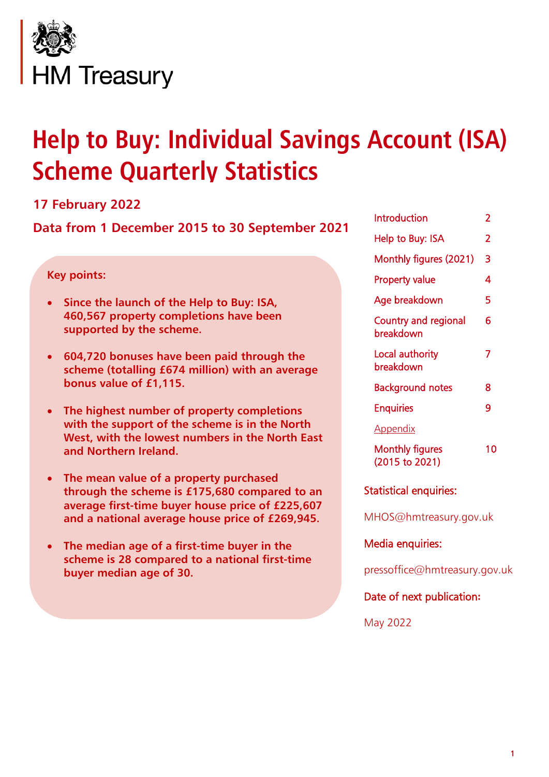

# **Help to Buy: Individual Savings Account (ISA) Scheme Quarterly Statistics**

### **17 February 2022**

**Data from 1 December 2015 to 30 September 2021**

#### **Key points:**

- **Since the launch of the Help to Buy: ISA, 460,567 property completions have been supported by the scheme.**
- **604,720 bonuses have been paid through the scheme (totalling £674 million) with an average bonus value of £1,115.**
- **The highest number of property completions with the support of the scheme is in the North West, with the lowest numbers in the North East and Northern Ireland.**
- **The mean value of a property purchased through the scheme is £175,680 compared to an average first-time buyer house price of £225,607 and a national average house price of £269,945.**
- **The median age of a first-time buyer in the scheme is 28 compared to a national first-time buyer median age of 30.**

| Introduction                             | 2  |
|------------------------------------------|----|
| Help to Buy: ISA                         | 2  |
| Monthly figures (2021)                   | 3  |
| Property value                           | 4  |
| Age breakdown                            | 5  |
| <b>Country and regional</b><br>breakdown | 6  |
| Local authority<br>breakdown             | 7  |
| Background notes                         | 8  |
| <b>Enquiries</b>                         | q  |
| <u>Appendix</u>                          |    |
| <b>Monthly figures</b><br>(2015 to 2021) | 10 |
|                                          |    |

Statistical enquiries:

MHOS@hmtreasury.gov.uk

Media enquiries:

pressoffice@hmtreasury.gov.uk

Date of next publication**:** 

May 2022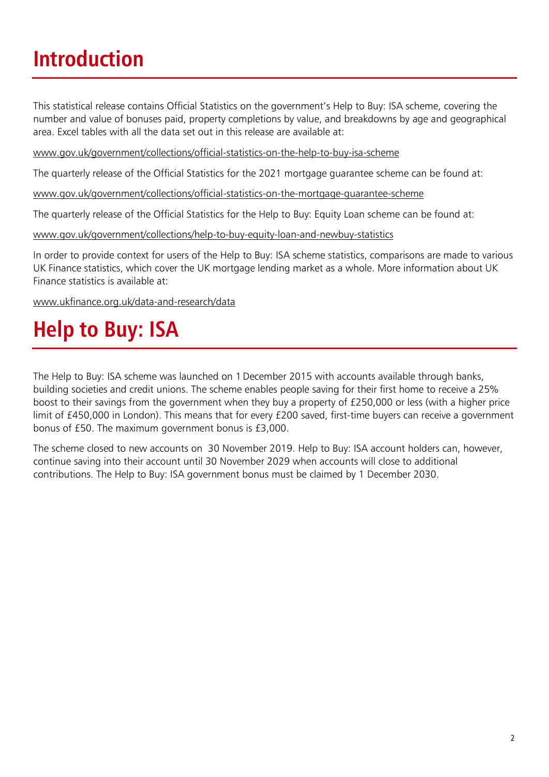### **Introduction**

This statistical release contains Official Statistics on the government's Help to Buy: ISA scheme, covering the number and value of bonuses paid, property completions by value, and breakdowns by age and geographical area. Excel tables with all the data set out in this release are available at:

[www.gov.uk/government/collections/official-statistics-on-the-help-to-buy-isa-scheme](http://www.gov.uk/government/collections/official-statistics-on-the-help-to-buy-isa-scheme)

The quarterly release of the Official Statistics for the 2021 mortgage guarantee scheme can be found at:

[www.gov.uk/government/collections/official-statistics-on-the-mortgage-guarantee-scheme](http://www.gov.uk/government/collections/official-statistics-on-the-mortgage-guarantee-scheme)

The quarterly release of the Official Statistics for the Help to Buy: Equity Loan scheme can be found at:

[www.gov.uk/government/collections/help-to-buy-equity-loan-and-newbuy-statistics](http://www.gov.uk/government/collections/help-to-buy-equity-loan-and-newbuy-statistics)

In order to provide context for users of the Help to Buy: ISA scheme statistics, comparisons are made to various UK Finance statistics, which cover the UK mortgage lending market as a whole. More information about UK Finance statistics is available at:

www.ukfinance.org.uk/data-and-research/data

### **Help to Buy: ISA**

The Help to Buy: ISA scheme was launched on 1December 2015 with accounts available through banks, building societies and credit unions. The scheme enables people saving for their first home to receive a 25% boost to their savings from the government when they buy a property of £250,000 or less (with a higher price limit of £450,000 in London). This means that for every £200 saved, first-time buyers can receive a government bonus of £50. The maximum government bonus is £3,000.

The scheme closed to new accounts on 30 November 2019. Help to Buy: ISA account holders can, however, continue saving into their account until 30 November 2029 when accounts will close to additional contributions. The Help to Buy: ISA government bonus must be claimed by 1 December 2030.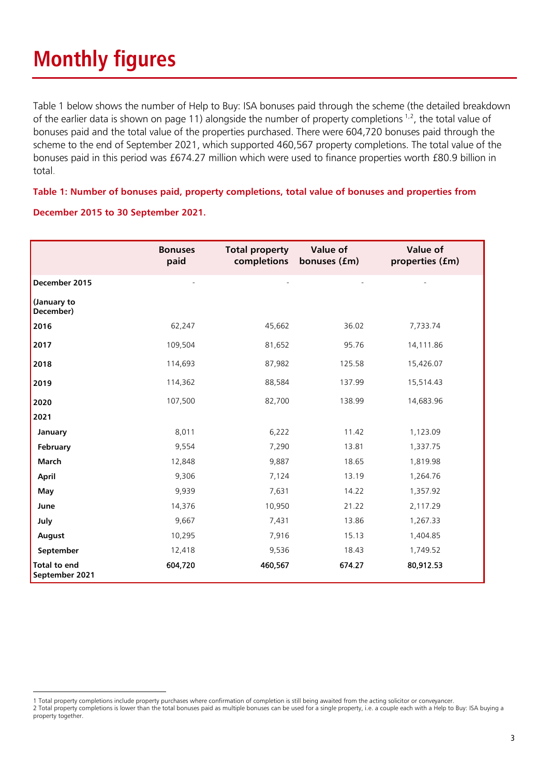Table 1 below shows the number of Help to Buy: ISA bonuses paid through the scheme (the detailed breakdown of the earlier data is shown on page 11) alongside the number of property completions  $1,2$  $1,2$ , the total value of bonuses paid and the total value of the properties purchased. There were 604,720 bonuses paid through the scheme to the end of September 2021, which supported 460,567 property completions. The total value of the bonuses paid in this period was £674.27 million which were used to finance properties worth £80.9 billion in total.

#### **Table 1: Number of bonuses paid, property completions, total value of bonuses and properties from**

#### **December 2015 to 30 September 2021.**

|                                       | <b>Bonuses</b><br>paid | <b>Total property</b><br>completions | Value of<br>bonuses (fm) | Value of<br>properties (£m) |
|---------------------------------------|------------------------|--------------------------------------|--------------------------|-----------------------------|
| December 2015                         |                        |                                      |                          |                             |
| (January to<br>December)              |                        |                                      |                          |                             |
| 2016                                  | 62,247                 | 45,662                               | 36.02                    | 7,733.74                    |
| 2017                                  | 109,504                | 81,652                               | 95.76                    | 14,111.86                   |
| 2018                                  | 114,693                | 87,982                               | 125.58                   | 15,426.07                   |
| 2019                                  | 114,362                | 88,584                               | 137.99                   | 15,514.43                   |
| 2020                                  | 107,500                | 82,700                               | 138.99                   | 14,683.96                   |
| 2021                                  |                        |                                      |                          |                             |
| January                               | 8,011                  | 6,222                                | 11.42                    | 1,123.09                    |
| February                              | 9,554                  | 7,290                                | 13.81                    | 1,337.75                    |
| March                                 | 12,848                 | 9,887                                | 18.65                    | 1,819.98                    |
| April                                 | 9,306                  | 7,124                                | 13.19                    | 1,264.76                    |
| May                                   | 9,939                  | 7,631                                | 14.22                    | 1,357.92                    |
| June                                  | 14,376                 | 10,950                               | 21.22                    | 2,117.29                    |
| July                                  | 9,667                  | 7,431                                | 13.86                    | 1,267.33                    |
| August                                | 10,295                 | 7,916                                | 15.13                    | 1,404.85                    |
| September                             | 12,418                 | 9,536                                | 18.43                    | 1,749.52                    |
| <b>Total to end</b><br>September 2021 | 604,720                | 460,567                              | 674.27                   | 80,912.53                   |

<span id="page-2-0"></span><sup>1</sup> Total property completions include property purchases where confirmation of completion is still being awaited from the acting solicitor or conveyancer.

<span id="page-2-1"></span><sup>2</sup> Total property completions is lower than the total bonuses paid as multiple bonuses can be used for a single property, i.e. a couple each with a Help to Buy: ISA buying a property together.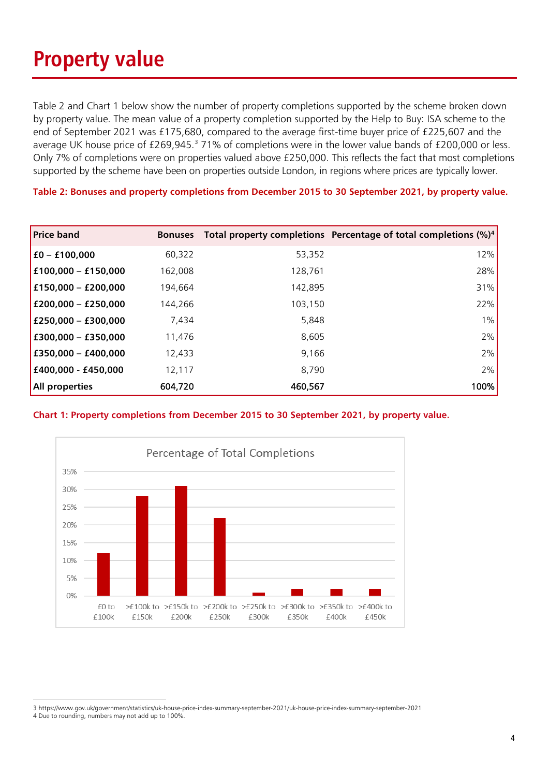### **Property value**

Table 2 and Chart 1 below show the number of property completions supported by the scheme broken down by property value. The mean value of a property completion supported by the Help to Buy: ISA scheme to the end of September 2021 was £175,680, compared to the average first-time buyer price of £225,607 and the average UK house price of £269,945.<sup>[3](#page-3-0)</sup> 71% of completions were in the lower value bands of £200,000 or less. Only 7% of completions were on properties valued above £250,000. This reflects the fact that most completions supported by the scheme have been on properties outside London, in regions where prices are typically lower.

**Table 2: Bonuses and property completions from December 2015 to 30 September 2021, by property value.**

| <b>Price band</b>     | <b>Bonuses</b> |         | Total property completions Percentage of total completions (%) <sup>4</sup> |
|-----------------------|----------------|---------|-----------------------------------------------------------------------------|
| $£0 - £100,000$       | 60,322         | 53,352  | 12%                                                                         |
| £100,000 - £150,000   | 162,008        | 128,761 | 28%                                                                         |
| £150,000 - £200,000   | 194,664        | 142,895 | 31%                                                                         |
| £200,000 - £250,000   | 144,266        | 103,150 | 22%                                                                         |
| £250,000 - £300,000   | 7,434          | 5,848   | $1\%$                                                                       |
| $£300,000 - £350,000$ | 11,476         | 8,605   | 2%                                                                          |
| £350,000 - £400,000   | 12,433         | 9.166   | 2%                                                                          |
| £400,000 - £450,000   | 12,117         | 8,790   | 2%                                                                          |
| All properties        | 604,720        | 460,567 | 100%                                                                        |

#### **Chart 1: Property completions from December 2015 to 30 September 2021, by property value.**



<span id="page-3-0"></span><sup>3</sup> https://www.gov.uk/government/statistics/uk-house-price-index-summary-september-2021/uk-house-price-index-summary-september-2021 4 Due to rounding, numbers may not add up to 100%.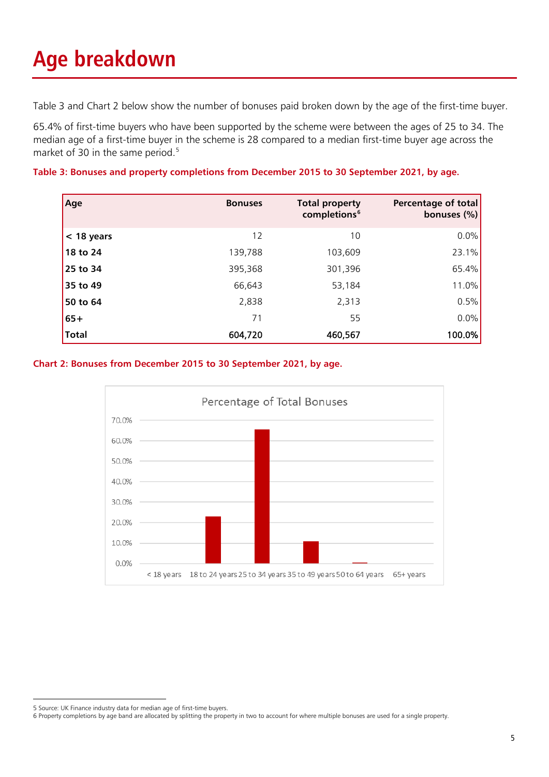## **Age breakdown**

Table 3 and Chart 2 below show the number of bonuses paid broken down by the age of the first-time buyer.

65.4% of first-time buyers who have been supported by the scheme were between the ages of 25 to 34. The median age of a first-time buyer in the scheme is 28 compared to a median first-time buyer age across the market of 30 in the same period. [5](#page-4-0)

**Table 3: Bonuses and property completions from December 2015 to 30 September 2021, by age.**

| Age          | <b>Bonuses</b> | <b>Total property</b><br>completions <sup>6</sup> | Percentage of total<br>bonuses $(\%)$ |
|--------------|----------------|---------------------------------------------------|---------------------------------------|
| $<$ 18 years | 12             | 10                                                | 0.0%                                  |
| 18 to 24     | 139,788        | 103,609                                           | 23.1%                                 |
| 25 to 34     | 395,368        | 301,396                                           | 65.4%                                 |
| 35 to 49     | 66,643         | 53,184                                            | 11.0%                                 |
| 50 to 64     | 2,838          | 2,313                                             | 0.5%                                  |
| $65+$        | 71             | 55                                                | 0.0%                                  |
| <b>Total</b> | 604,720        | 460,567                                           | 100.0%                                |

#### **Chart 2: Bonuses from December 2015 to 30 September 2021, by age.**



<span id="page-4-0"></span><sup>5</sup> Source: UK Finance industry data for median age of first-time buyers.

<span id="page-4-1"></span><sup>6</sup> Property completions by age band are allocated by splitting the property in two to account for where multiple bonuses are used for a single property.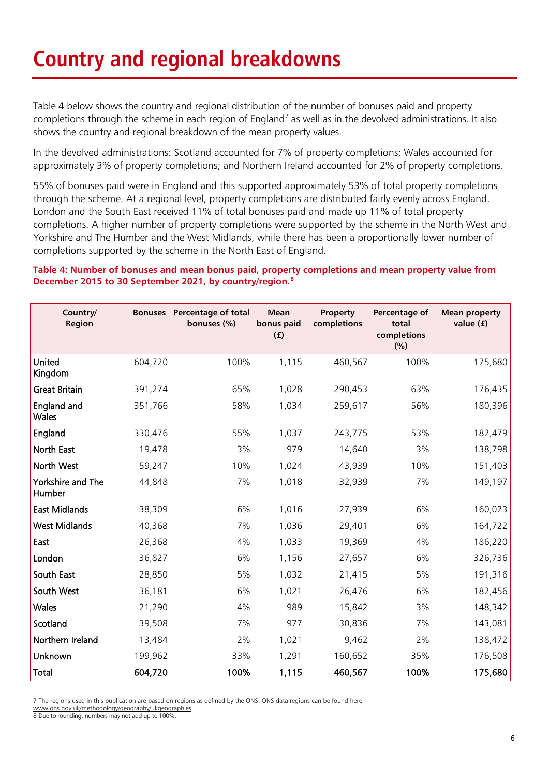### **Country and regional breakdowns**

Table 4 below shows the country and regional distribution of the number of bonuses paid and property completions through the scheme in each region of England<sup>[7](#page-5-0)</sup> as well as in the devolved administrations. It also shows the country and regional breakdown of the mean property values.

In the devolved administrations: Scotland accounted for 7% of property completions; Wales accounted for approximately 3% of property completions; and Northern Ireland accounted for 2% of property completions.

55% of bonuses paid were in England and this supported approximately 53% of total property completions through the scheme. At a regional level, property completions are distributed fairly evenly across England. London and the South East received 11% of total bonuses paid and made up 11% of total property completions. A higher number of property completions were supported by the scheme in the North West and Yorkshire and The Humber and the West Midlands, while there has been a proportionally lower number of completions supported by the scheme in the North East of England.

#### **Table 4: Number of bonuses and mean bonus paid, property completions and mean property value from December 2015 to 30 September 2021, by country/region. [8](#page-5-1)**

| Country/<br>Region          |         | <b>Bonuses</b> Percentage of total<br>bonuses (%) | <b>Mean</b><br>bonus paid<br>(f) | Property<br>completions | Percentage of<br>total<br>completions<br>(%) | <b>Mean property</b><br>value $(f)$ |
|-----------------------------|---------|---------------------------------------------------|----------------------------------|-------------------------|----------------------------------------------|-------------------------------------|
| United<br>Kingdom           | 604,720 | 100%                                              | 1,115                            | 460,567                 | 100%                                         | 175,680                             |
| <b>Great Britain</b>        | 391,274 | 65%                                               | 1,028                            | 290,453                 | 63%                                          | 176,435                             |
| England and<br><b>Wales</b> | 351,766 | 58%                                               | 1,034                            | 259,617                 | 56%                                          | 180,396                             |
| England                     | 330,476 | 55%                                               | 1,037                            | 243,775                 | 53%                                          | 182,479                             |
| North East                  | 19,478  | 3%                                                | 979                              | 14,640                  | 3%                                           | 138,798                             |
| North West                  | 59,247  | 10%                                               | 1,024                            | 43,939                  | 10%                                          | 151,403                             |
| Yorkshire and The<br>Humber | 44,848  | 7%                                                | 1,018                            | 32,939                  | 7%                                           | 149,197                             |
| <b>East Midlands</b>        | 38,309  | 6%                                                | 1,016                            | 27,939                  | 6%                                           | 160,023                             |
| <b>West Midlands</b>        | 40,368  | 7%                                                | 1,036                            | 29,401                  | 6%                                           | 164,722                             |
| East                        | 26,368  | 4%                                                | 1,033                            | 19,369                  | 4%                                           | 186,220                             |
| London                      | 36,827  | 6%                                                | 1,156                            | 27,657                  | 6%                                           | 326,736                             |
| South East                  | 28,850  | 5%                                                | 1,032                            | 21,415                  | 5%                                           | 191,316                             |
| South West                  | 36,181  | 6%                                                | 1,021                            | 26,476                  | 6%                                           | 182,456                             |
| Wales                       | 21,290  | 4%                                                | 989                              | 15,842                  | 3%                                           | 148,342                             |
| Scotland                    | 39,508  | 7%                                                | 977                              | 30,836                  | 7%                                           | 143,081                             |
| Northern Ireland            | 13,484  | 2%                                                | 1,021                            | 9,462                   | 2%                                           | 138,472                             |
| Unknown                     | 199,962 | 33%                                               | 1,291                            | 160,652                 | 35%                                          | 176,508                             |
| Total                       | 604,720 | 100%                                              | 1,115                            | 460,567                 | 100%                                         | 175,680                             |

<span id="page-5-0"></span>7 The regions used in this publication are based on regions as defined by the ONS. ONS data regions can be found here:

www.ons.gov.uk/methodology/geography/ukgeographies

<span id="page-5-1"></span>8 Due to rounding, numbers may not add up to 100%.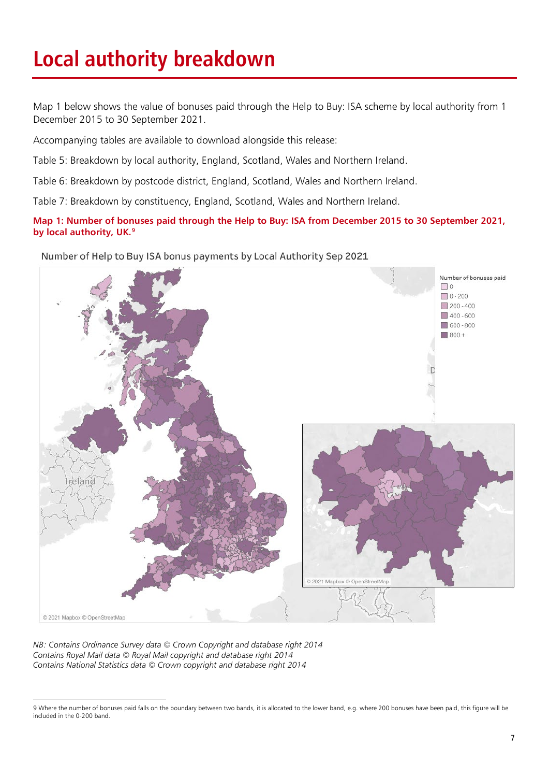### **Local authority breakdown**

Map 1 below shows the value of bonuses paid through the Help to Buy: ISA scheme by local authority from 1 December 2015 to 30 September 2021.

Accompanying tables are available to download alongside this release:

Table 5: Breakdown by local authority, England, Scotland, Wales and Northern Ireland.

Table 6: Breakdown by postcode district, England, Scotland, Wales and Northern Ireland.

Table 7: Breakdown by constituency, England, Scotland, Wales and Northern Ireland.

**Map 1: Number of bonuses paid through the Help to Buy: ISA from December 2015 to 30 September 2021, by local authority, UK.[9](#page-6-0)**

Number of Help to Buy ISA bonus payments by Local Authority Sep 2021



*NB: Contains Ordinance Survey data © Crown Copyright and database right 2014 Contains Royal Mail data © Royal Mail copyright and database right 2014 Contains National Statistics data © Crown copyright and database right 2014*

<span id="page-6-0"></span><sup>9</sup> Where the number of bonuses paid falls on the boundary between two bands, it is allocated to the lower band, e.g. where 200 bonuses have been paid, this figure will be included in the 0-200 band.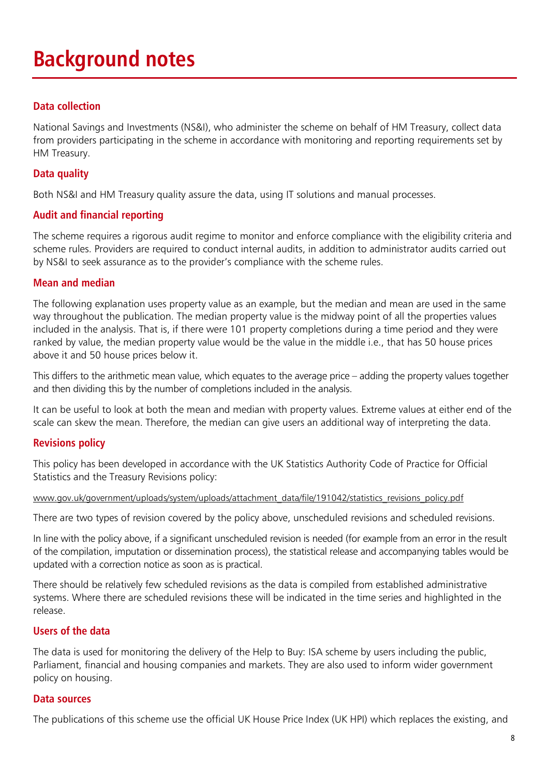### **Background notes**

#### **Data collection**

National Savings and Investments (NS&I), who administer the scheme on behalf of HM Treasury, collect data from providers participating in the scheme in accordance with monitoring and reporting requirements set by HM Treasury.

#### **Data quality**

Both NS&I and HM Treasury quality assure the data, using IT solutions and manual processes.

#### **Audit and financial reporting**

The scheme requires a rigorous audit regime to monitor and enforce compliance with the eligibility criteria and scheme rules. Providers are required to conduct internal audits, in addition to administrator audits carried out by NS&I to seek assurance as to the provider's compliance with the scheme rules.

#### **Mean and median**

The following explanation uses property value as an example, but the median and mean are used in the same way throughout the publication. The median property value is the midway point of all the properties values included in the analysis. That is, if there were 101 property completions during a time period and they were ranked by value, the median property value would be the value in the middle i.e., that has 50 house prices above it and 50 house prices below it.

This differs to the arithmetic mean value, which equates to the average price – adding the property values together and then dividing this by the number of completions included in the analysis.

It can be useful to look at both the mean and median with property values. Extreme values at either end of the scale can skew the mean. Therefore, the median can give users an additional way of interpreting the data.

#### **Revisions policy**

This policy has been developed in accordance with the UK Statistics Authority Code of Practice for Official Statistics and the Treasury Revisions policy:

#### [www.gov.uk/government/uploads/system/uploads/attachment\\_data/file/191042/statistics\\_revisions\\_policy.pdf](http://www.gov.uk/government/uploads/system/uploads/attachment_data/file/191042/statistics_revisions_policy.pdf)

There are two types of revision covered by the policy above, unscheduled revisions and scheduled revisions.

In line with the policy above, if a significant unscheduled revision is needed (for example from an error in the result of the compilation, imputation or dissemination process), the statistical release and accompanying tables would be updated with a correction notice as soon as is practical.

There should be relatively few scheduled revisions as the data is compiled from established administrative systems. Where there are scheduled revisions these will be indicated in the time series and highlighted in the release.

#### **Users of the data**

The data is used for monitoring the delivery of the Help to Buy: ISA scheme by users including the public, Parliament, financial and housing companies and markets. They are also used to inform wider government policy on housing.

#### **Data sources**

The publications of this scheme use the official UK House Price Index (UK HPI) which replaces the existing, and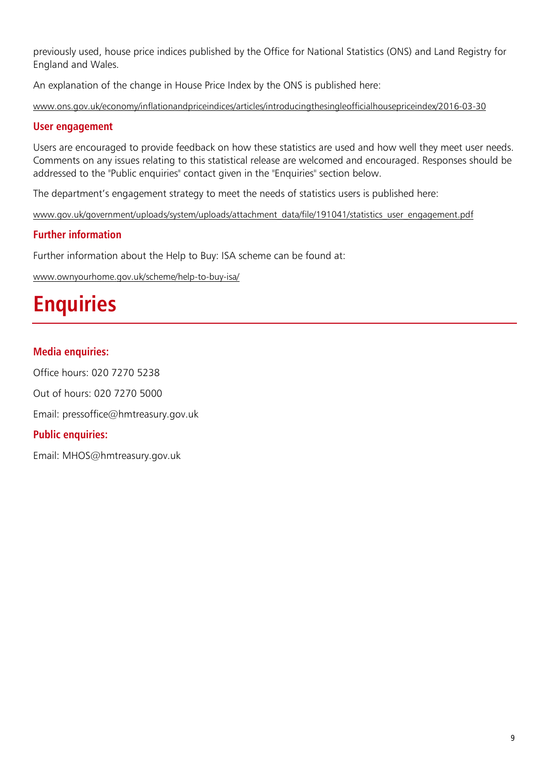previously used, house price indices published by the Office for National Statistics (ONS) and Land Registry for England and Wales.

An explanation of the change in House Price Index by the ONS is published here:

[www.ons.gov.uk/economy/inflationandpriceindices/articles/introducingthesingleofficialhousepriceindex/2016-03-30](http://www.ons.gov.uk/economy/inflationandpriceindices/articles/introducingthesingleofficialhousepriceindex/2016-03-30) 

#### **User engagement**

Users are encouraged to provide feedback on how these statistics are used and how well they meet user needs. Comments on any issues relating to this statistical release are welcomed and encouraged. Responses should be addressed to the "Public enquiries" contact given in the "Enquiries" section below.

The department's engagement strategy to meet the needs of statistics users is published here:

[www.gov.uk/government/uploads/system/uploads/attachment\\_data/file/191041/statistics\\_user\\_engagement.pdf](http://www.gov.uk/government/uploads/system/uploads/attachment_data/file/191041/statistics_user_engagement.pdf)

#### **Further information**

Further information about the Help to Buy: ISA scheme can be found at:

www.ownyourhome.gov.uk/scheme/help-to-buy-isa/

### **Enquiries**

#### **Media enquiries:**

Office hours: 020 7270 5238 Out of hours: 020 7270 5000 Email: pressoffice@hmtreasury.gov.uk

#### **Public enquiries:**

Email: MHO[S@hmtreasury.gov.uk](mailto:HelptoBuyISAStatistics@hmtreasury.gov.uk)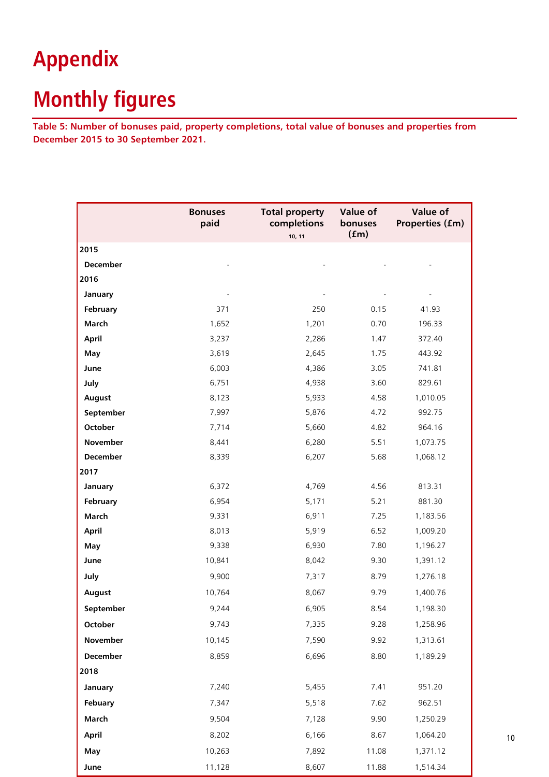### **Appendix**

### **Monthly figures**

**Table 5: Number of bonuses paid, property completions, total value of bonuses and properties from December 2015 to 30 September 2021.**

|                 | <b>Bonuses</b><br>paid | <b>Total property</b><br>completions<br>10, 11 | <b>Value of</b><br>bonuses<br>(fm) | Value of<br>Properties (fm) |
|-----------------|------------------------|------------------------------------------------|------------------------------------|-----------------------------|
| 2015            |                        |                                                |                                    |                             |
| <b>December</b> |                        |                                                |                                    |                             |
| 2016            |                        |                                                |                                    |                             |
| January         |                        |                                                |                                    |                             |
| February        | 371                    | 250                                            | 0.15                               | 41.93                       |
| March           | 1,652                  | 1,201                                          | 0.70                               | 196.33                      |
| April           | 3,237                  | 2,286                                          | 1.47                               | 372.40                      |
| May             | 3,619                  | 2,645                                          | 1.75                               | 443.92                      |
| June            | 6,003                  | 4,386                                          | 3.05                               | 741.81                      |
| July            | 6,751                  | 4,938                                          | 3.60                               | 829.61                      |
| August          | 8,123                  | 5,933                                          | 4.58                               | 1,010.05                    |
| September       | 7,997                  | 5,876                                          | 4.72                               | 992.75                      |
| October         | 7,714                  | 5,660                                          | 4.82                               | 964.16                      |
| November        | 8,441                  | 6,280                                          | 5.51                               | 1,073.75                    |
| December        | 8,339                  | 6,207                                          | 5.68                               | 1,068.12                    |
| 2017            |                        |                                                |                                    |                             |
| January         | 6,372                  | 4,769                                          | 4.56                               | 813.31                      |
| February        | 6,954                  | 5,171                                          | 5.21                               | 881.30                      |
| March           | 9,331                  | 6,911                                          | 7.25                               | 1,183.56                    |
| April           | 8,013                  | 5,919                                          | 6.52                               | 1,009.20                    |
| May             | 9,338                  | 6,930                                          | 7.80                               | 1,196.27                    |
| June            | 10,841                 | 8,042                                          | 9.30                               | 1,391.12                    |
| July            | 9,900                  | 7,317                                          | 8.79                               | 1,276.18                    |
| August          | 10,764                 | 8,067                                          | 9.79                               | 1,400.76                    |
| September       | 9,244                  | 6,905                                          | 8.54                               | 1,198.30                    |
| October         | 9,743                  | 7,335                                          | 9.28                               | 1,258.96                    |
| November        | 10,145                 | 7,590                                          | 9.92                               | 1,313.61                    |
| December        | 8,859                  | 6,696                                          | 8.80                               | 1,189.29                    |
| 2018            |                        |                                                |                                    |                             |
| January         | 7,240                  | 5,455                                          | 7.41                               | 951.20                      |
| Febuary         | 7,347                  | 5,518                                          | 7.62                               | 962.51                      |
| March           | 9,504                  | 7,128                                          | 9.90                               | 1,250.29                    |
| April           | 8,202                  | 6,166                                          | 8.67                               | 1,064.20                    |
| May             | 10,263                 | 7,892                                          | 11.08                              | 1,371.12                    |
| June            | 11,128                 | 8,607                                          | 11.88                              | 1,514.34                    |

10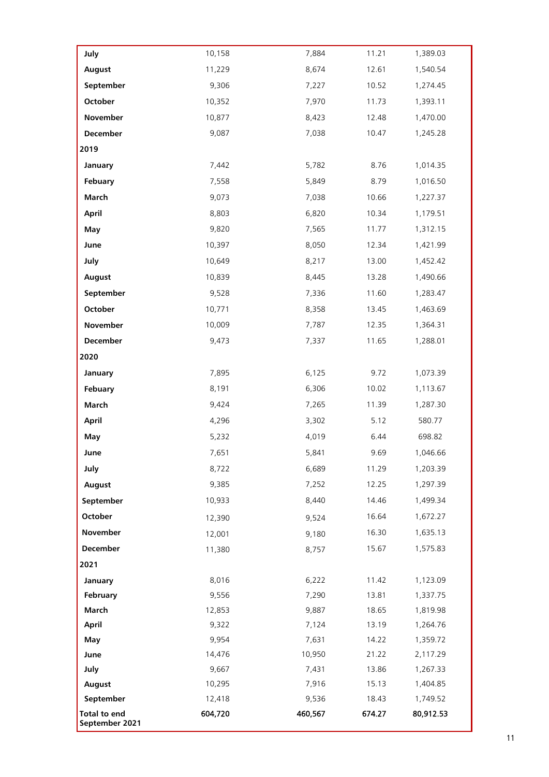| July                           | 10,158  | 7,884   | 11.21  | 1,389.03  |
|--------------------------------|---------|---------|--------|-----------|
| August                         | 11,229  | 8,674   | 12.61  | 1,540.54  |
| September                      | 9,306   | 7,227   | 10.52  | 1,274.45  |
| <b>October</b>                 | 10,352  | 7,970   | 11.73  | 1,393.11  |
| November                       | 10,877  | 8,423   | 12.48  | 1,470.00  |
| December                       | 9,087   | 7,038   | 10.47  | 1,245.28  |
| 2019                           |         |         |        |           |
| January                        | 7,442   | 5,782   | 8.76   | 1,014.35  |
| Febuary                        | 7,558   | 5,849   | 8.79   | 1,016.50  |
| March                          | 9,073   | 7,038   | 10.66  | 1,227.37  |
| April                          | 8,803   | 6,820   | 10.34  | 1,179.51  |
| May                            | 9,820   | 7,565   | 11.77  | 1,312.15  |
| June                           | 10,397  | 8,050   | 12.34  | 1,421.99  |
| July                           | 10,649  | 8,217   | 13.00  | 1,452.42  |
| August                         | 10,839  | 8,445   | 13.28  | 1,490.66  |
| September                      | 9,528   | 7,336   | 11.60  | 1,283.47  |
| October                        | 10,771  | 8,358   | 13.45  | 1,463.69  |
| November                       | 10,009  | 7,787   | 12.35  | 1,364.31  |
| December                       | 9,473   | 7,337   | 11.65  | 1,288.01  |
| 2020                           |         |         |        |           |
| January                        | 7,895   | 6,125   | 9.72   | 1,073.39  |
| Febuary                        | 8,191   | 6,306   | 10.02  | 1,113.67  |
| March                          | 9,424   | 7,265   | 11.39  | 1,287.30  |
| April                          | 4,296   | 3,302   | 5.12   | 580.77    |
| May                            | 5,232   | 4,019   | 6.44   | 698.82    |
| June                           | 7,651   | 5,841   | 9.69   | 1,046.66  |
| July                           | 8,722   | 6,689   | 11.29  | 1,203.39  |
| August                         | 9,385   | 7,252   | 12.25  | 1,297.39  |
| September                      | 10,933  | 8,440   | 14.46  | 1,499.34  |
| October                        | 12,390  | 9,524   | 16.64  | 1,672.27  |
| November                       | 12,001  | 9,180   | 16.30  | 1,635.13  |
| December                       | 11,380  | 8,757   | 15.67  | 1,575.83  |
| 2021                           |         |         |        |           |
| January                        | 8,016   | 6,222   | 11.42  | 1,123.09  |
| February                       | 9,556   | 7,290   | 13.81  | 1,337.75  |
| March                          | 12,853  | 9,887   | 18.65  | 1,819.98  |
| April                          | 9,322   | 7,124   | 13.19  | 1,264.76  |
| May                            | 9,954   | 7,631   | 14.22  | 1,359.72  |
| June                           | 14,476  | 10,950  | 21.22  | 2,117.29  |
| July                           | 9,667   | 7,431   | 13.86  | 1,267.33  |
| August                         | 10,295  | 7,916   | 15.13  | 1,404.85  |
| September                      | 12,418  | 9,536   | 18.43  | 1,749.52  |
| Total to end<br>September 2021 | 604,720 | 460,567 | 674.27 | 80,912.53 |